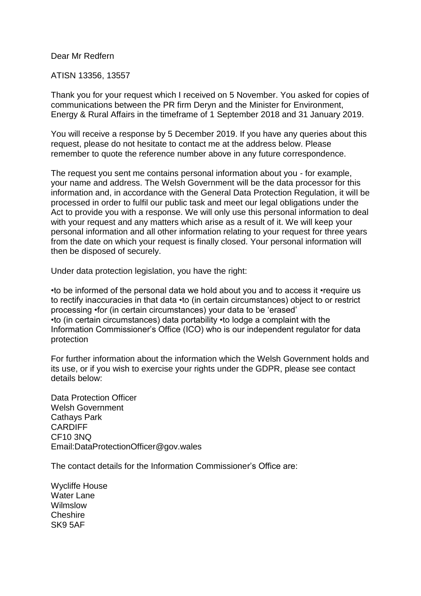## Dear Mr Redfern

## ATISN 13356, 13557

Thank you for your request which I received on 5 November. You asked for copies of communications between the PR firm Deryn and the Minister for Environment, Energy & Rural Affairs in the timeframe of 1 September 2018 and 31 January 2019.

You will receive a response by 5 December 2019. If you have any queries about this request, please do not hesitate to contact me at the address below. Please remember to quote the reference number above in any future correspondence.

The request you sent me contains personal information about you - for example, your name and address. The Welsh Government will be the data processor for this information and, in accordance with the General Data Protection Regulation, it will be processed in order to fulfil our public task and meet our legal obligations under the Act to provide you with a response. We will only use this personal information to deal with your request and any matters which arise as a result of it. We will keep your personal information and all other information relating to your request for three years from the date on which your request is finally closed. Your personal information will then be disposed of securely.

Under data protection legislation, you have the right:

•to be informed of the personal data we hold about you and to access it •require us to rectify inaccuracies in that data •to (in certain circumstances) object to or restrict processing •for (in certain circumstances) your data to be 'erased' •to (in certain circumstances) data portability •to lodge a complaint with the Information Commissioner's Office (ICO) who is our independent regulator for data protection

For further information about the information which the Welsh Government holds and its use, or if you wish to exercise your rights under the GDPR, please see contact details below:

Data Protection Officer Welsh Government Cathays Park CARDIFF CF10 3NQ Email:DataProtectionOfficer@gov.wales

The contact details for the Information Commissioner's Office are:

Wycliffe House Water Lane Wilmslow Cheshire SK9 5AF